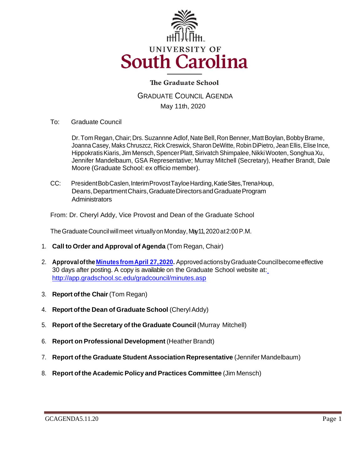

# **The Graduate School**

GRADUATE COUNCIL AGENDA May 11th, 2020

To: Graduate Council

Dr. Tom Regan, Chair; Drs. Suzannne Adlof, Nate Bell, Ron Benner, Matt Boylan, Bobby Brame, Joanna Casey, Maks Chruszcz, Rick Creswick, Sharon DeWitte, Robin DiPietro, Jean Ellis, Elise Ince, Hippokratis Kiaris, Jim Mensch, Spencer Platt, Sirivatch Shimpalee, Nikki Wooten, Songhua Xu, Jennifer Mandelbaum, GSA Representative; Murray Mitchell (Secretary), Heather Brandt, Dale Moore (Graduate School: ex officio member).

CC: PresidentBobCaslen, Interim Provost Tayloe Harding, KatieSites, Trena Houp, Deans,DepartmentChairs,GraduateDirectorsandGraduateProgram **Administrators** 

From: Dr. Cheryl Addy, Vice Provost and Dean of the Graduate School

The Graduate Council will meet virtually on Monday, May 11, 2020 at 2:00 P.M.

- 1. **Call to Order and Approval of Agenda** (Tom Regan, Chair)
- 2. **Approvalofthe Minutes [fromApril 27,2020.](file:///C:/Users/wandab/Desktop/GCMINSApr272020mm.pdf)** ApprovedactionsbyGraduateCouncilbecomeeffective 30 days after posting. A copy is available on the Graduate School website at[:](http://app.gradschool.sc.edu/gradcouncil/minutes.asp) <http://app.gradschool.sc.edu/gradcouncil/minutes.asp>
- 3. **Report of the Chair** (Tom Regan)
- 4. **Report ofthe Dean of Graduate School** (CherylAddy)
- 5. **Report of the Secretary of the Graduate Council** (Murray Mitchell)
- 6. **Report on Professional Development** (Heather Brandt)
- 7. **Report of the Graduate Student Association Representative** (Jennifer Mandelbaum)
- 8. **Report of the Academic Policy and Practices Committee** (Jim Mensch)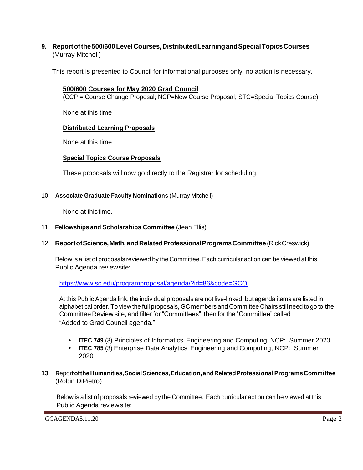**9. Reportofthe500/600LevelCourses,DistributedLearningandSpecialTopicsCourses** (Murray Mitchell)

This report is presented to Council for informational purposes only; no action is necessary.

#### **500/600 Courses for May 2020 Grad Council**

(CCP = Course Change Proposal; NCP=New Course Proposal; STC=Special Topics Course)

None at this time

#### **Distributed Learning Proposals**

None at this time

#### **Special Topics Course Proposals**

These proposals will now go directly to the Registrar for scheduling.

#### 10. **Associate Graduate Faculty Nominations** (Murray Mitchell)

None at thistime.

11. **Fellowships and Scholarships Committee** (Jean Ellis)

### 12. **ReportofScience,Math,andRelatedProfessionalProgramsCommittee** (RickCreswick)

Below is a list of proposals reviewed by the Committee. Each curricular action can be viewed at this Public Agenda reviewsite:

<https://www.sc.edu/programproposal/agenda/?id=86&code=GCO>

At this Public Agenda link, the individual proposals are not live-linked, but agenda items are listed in alphabetical order. To view the full proposals, GC members and Committee Chairs still need to go to the Committee Review site, and filter for "Committees", then for the "Committee" called "Added to Grad Council agenda."

- **ITEC 749** (3) Principles of Informatics, Engineering and Computing, NCP: Summer 2020
- **ITEC 785** (3) Enterprise Data Analytics, Engineering and Computing, NCP: Summer 2020
- **13. R**epor**toftheHumanities,SocialSciences,Education,andRelatedProfessionalPrograms Committee** (Robin DiPietro)

Below is a list of proposals reviewed by the Committee. Each curricular action can be viewed at this Public Agenda reviewsite: